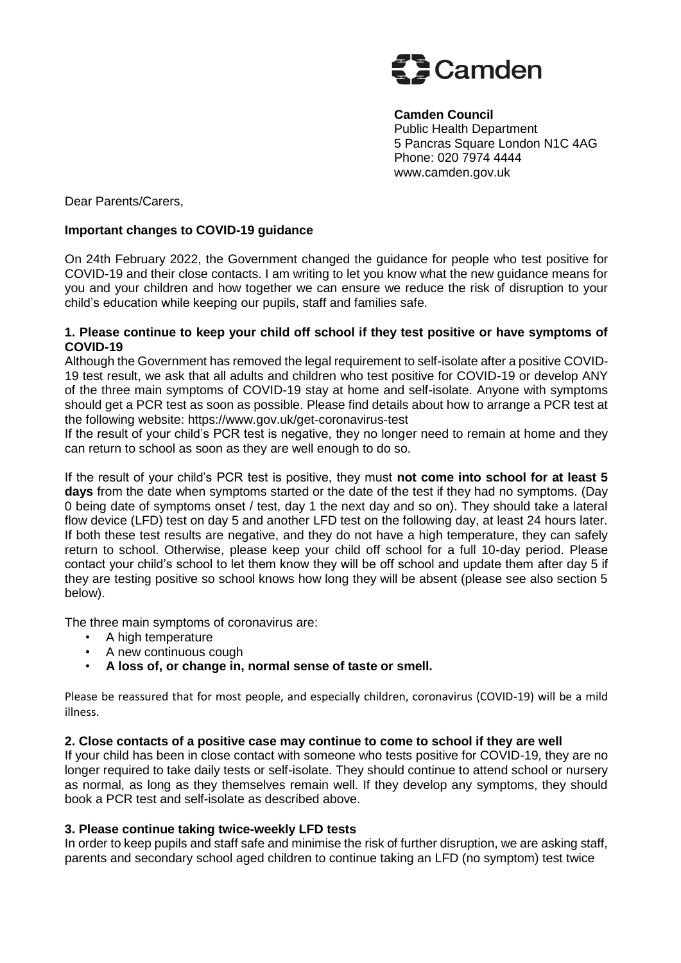

 **Camden Council**  Public Health Department 5 Pancras Square London N1C 4AG Phone: 020 7974 4444 www.camden.gov.uk

Dear Parents/Carers,

### **Important changes to COVID-19 guidance**

On 24th February 2022, the Government changed the guidance for people who test positive for COVID-19 and their close contacts. I am writing to let you know what the new guidance means for you and your children and how together we can ensure we reduce the risk of disruption to your child's education while keeping our pupils, staff and families safe.

### **1. Please continue to keep your child off school if they test positive or have symptoms of COVID-19**

Although the Government has removed the legal requirement to self-isolate after a positive COVID-19 test result, we ask that all adults and children who test positive for COVID-19 or develop ANY of the three main symptoms of COVID-19 stay at home and self-isolate. Anyone with symptoms should get a PCR test as soon as possible. Please find details about how to arrange a PCR test at the following website: https://www.gov.uk/get-coronavirus-test

If the result of your child's PCR test is negative, they no longer need to remain at home and they can return to school as soon as they are well enough to do so.

If the result of your child's PCR test is positive, they must **not come into school for at least 5 days** from the date when symptoms started or the date of the test if they had no symptoms. (Day 0 being date of symptoms onset / test, day 1 the next day and so on). They should take a lateral flow device (LFD) test on day 5 and another LFD test on the following day, at least 24 hours later. If both these test results are negative, and they do not have a high temperature, they can safely return to school. Otherwise, please keep your child off school for a full 10-day period. Please contact your child's school to let them know they will be off school and update them after day 5 if they are testing positive so school knows how long they will be absent (please see also section 5 below).

The three main symptoms of coronavirus are:

- A high temperature
- A new continuous cough
- **A loss of, or change in, normal sense of taste or smell.**

Please be reassured that for most people, and especially children, coronavirus (COVID-19) will be a mild illness.

# **2. Close contacts of a positive case may continue to come to school if they are well**

If your child has been in close contact with someone who tests positive for COVID-19, they are no longer required to take daily tests or self-isolate. They should continue to attend school or nursery as normal, as long as they themselves remain well. If they develop any symptoms, they should book a PCR test and self-isolate as described above.

#### **3. Please continue taking twice-weekly LFD tests**

In order to keep pupils and staff safe and minimise the risk of further disruption, we are asking staff, parents and secondary school aged children to continue taking an LFD (no symptom) test twice